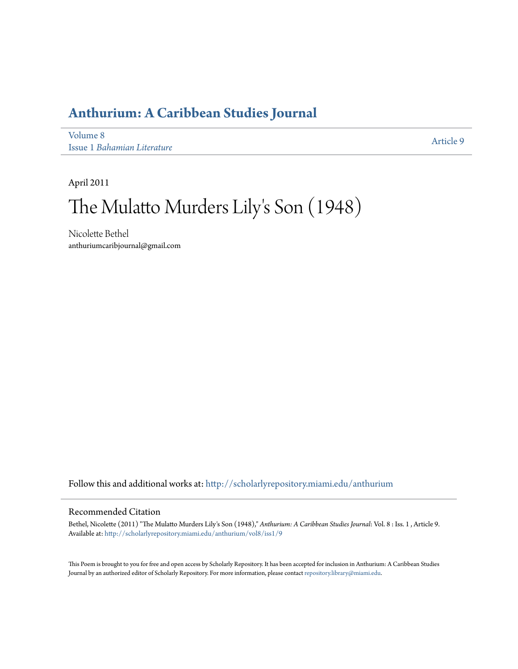## **[Anthurium: A Caribbean Studies Journal](http://scholarlyrepository.miami.edu/anthurium?utm_source=scholarlyrepository.miami.edu%2Fanthurium%2Fvol8%2Fiss1%2F9&utm_medium=PDF&utm_campaign=PDFCoverPages)**

[Volume 8](http://scholarlyrepository.miami.edu/anthurium/vol8?utm_source=scholarlyrepository.miami.edu%2Fanthurium%2Fvol8%2Fiss1%2F9&utm_medium=PDF&utm_campaign=PDFCoverPages) Issue 1 *[Bahamian Literature](http://scholarlyrepository.miami.edu/anthurium/vol8/iss1?utm_source=scholarlyrepository.miami.edu%2Fanthurium%2Fvol8%2Fiss1%2F9&utm_medium=PDF&utm_campaign=PDFCoverPages)*

[Article 9](http://scholarlyrepository.miami.edu/anthurium/vol8/iss1/9?utm_source=scholarlyrepository.miami.edu%2Fanthurium%2Fvol8%2Fiss1%2F9&utm_medium=PDF&utm_campaign=PDFCoverPages)

April 2011

# The Mulatto Murders Lily 's Son (1948)

Nicolette Bethel anthuriumcaribjournal@gmail.com

Follow this and additional works at: [http://scholarlyrepository.miami.edu/anthurium](http://scholarlyrepository.miami.edu/anthurium?utm_source=scholarlyrepository.miami.edu%2Fanthurium%2Fvol8%2Fiss1%2F9&utm_medium=PDF&utm_campaign=PDFCoverPages)

### Recommended Citation

Bethel, Nicolette (2011) "The Mulatto Murders Lily's Son (1948)," *Anthurium: A Caribbean Studies Journal*: Vol. 8 : Iss. 1 , Article 9. Available at: [http://scholarlyrepository.miami.edu/anthurium/vol8/iss1/9](http://scholarlyrepository.miami.edu/anthurium/vol8/iss1/9?utm_source=scholarlyrepository.miami.edu%2Fanthurium%2Fvol8%2Fiss1%2F9&utm_medium=PDF&utm_campaign=PDFCoverPages)

This Poem is brought to you for free and open access by Scholarly Repository. It has been accepted for inclusion in Anthurium: A Caribbean Studies Journal by an authorized editor of Scholarly Repository. For more information, please contact [repository.library@miami.edu](mailto:repository.library@miami.edu).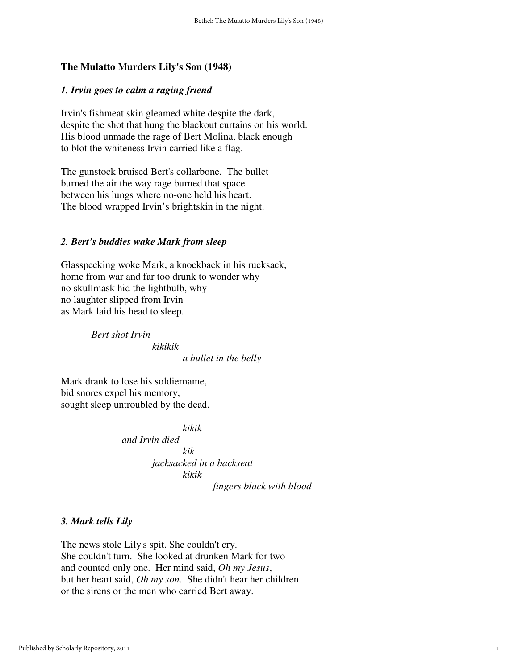#### **The Mulatto Murders Lily's Son (1948)**

### *1. Irvin goes to calm a raging friend*

Irvin's fishmeat skin gleamed white despite the dark, despite the shot that hung the blackout curtains on his world. His blood unmade the rage of Bert Molina, black enough to blot the whiteness Irvin carried like a flag.

The gunstock bruised Bert's collarbone. The bullet burned the air the way rage burned that space between his lungs where no-one held his heart. The blood wrapped Irvin's brightskin in the night.

#### *2. Bert's buddies wake Mark from sleep*

Glasspecking woke Mark, a knockback in his rucksack, home from war and far too drunk to wonder why no skullmask hid the lightbulb, why no laughter slipped from Irvin as Mark laid his head to sleep*.* 

> *Bert shot Irvin kikikik a bullet in the belly*

Mark drank to lose his soldiername, bid snores expel his memory, sought sleep untroubled by the dead.

> *kikik and Irvin died kik jacksacked in a backseat kikik fingers black with blood*

#### *3. Mark tells Lily*

The news stole Lily's spit. She couldn't cry. She couldn't turn. She looked at drunken Mark for two and counted only one. Her mind said, *Oh my Jesus*, but her heart said, *Oh my son*. She didn't hear her children or the sirens or the men who carried Bert away.